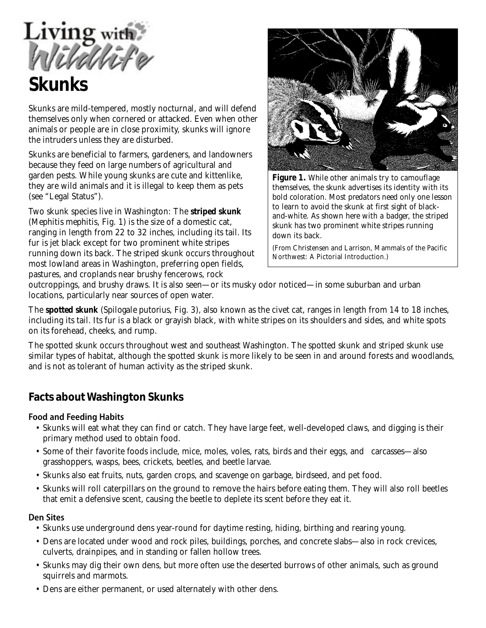Living with

# **Skunks**

Skunks are mild-tempered, mostly nocturnal, and will defend themselves only when cornered or attacked. Even when other animals or people are in close proximity, skunks will ignore the intruders unless they are disturbed.

Skunks are beneficial to farmers, gardeners, and landowners because they feed on large numbers of agricultural and garden pests. While young skunks are cute and kittenlike, they are wild animals and it is illegal to keep them as pets (see "Legal Status").

Two skunk species live in Washington: The **striped skunk** *(Mephitis mephitis,* Fig. 1) is the size of a domestic cat, ranging in length from 22 to 32 inches, including its tail. Its fur is jet black except for two prominent white stripes running down its back. The striped skunk occurs throughout most lowland areas in Washington, preferring open fields, pastures, and croplands near brushy fencerows, rock



**Figure 1.** *While other animals try to camouflage themselves, the skunk advertises its identity with its bold coloration. Most predators need only one lesson to learn to avoid the skunk at first sight of blackand-white. As shown here with a badger, the striped skunk has two prominent white stripes running down its back.*

*(From Christensen and Larrison,* Mammals of the Pacific Northwest: A Pictorial Introduction.)

outcroppings, and brushy draws. It is also seen—or its musky odor noticed—in some suburban and urban locations, particularly near sources of open water.

The **spotted skunk** (*Spilogale putorius,* Fig. 3), also known as the civet cat, ranges in length from 14 to 18 inches, including its tail. Its fur is a black or grayish black, with white stripes on its shoulders and sides, and white spots on its forehead, cheeks, and rump.

The spotted skunk occurs throughout west and southeast Washington. The spotted skunk and striped skunk use similar types of habitat, although the spotted skunk is more likely to be seen in and around forests and woodlands, and is not as tolerant of human activity as the striped skunk.

## **Facts about Washington Skunks**

#### **Food and Feeding Habits**

- Skunks will eat what they can find or catch. They have large feet, well-developed claws, and digging is their primary method used to obtain food.
- Some of their favorite foods include, mice, moles, voles, rats, birds and their eggs, and carcasses—also grasshoppers, wasps, bees, crickets, beetles, and beetle larvae.
- Skunks also eat fruits, nuts, garden crops, and scavenge on garbage, birdseed, and pet food.
- Skunks will roll caterpillars on the ground to remove the hairs before eating them. They will also roll beetles that emit a defensive scent, causing the beetle to deplete its scent before they eat it.

#### **Den Sites**

- Skunks use underground dens year-round for daytime resting, hiding, birthing and rearing young.
- Dens are located under wood and rock piles, buildings, porches, and concrete slabs—also in rock crevices, culverts, drainpipes, and in standing or fallen hollow trees.
- Skunks may dig their own dens, but more often use the deserted burrows of other animals, such as ground squirrels and marmots.
- Dens are either permanent, or used alternately with other dens.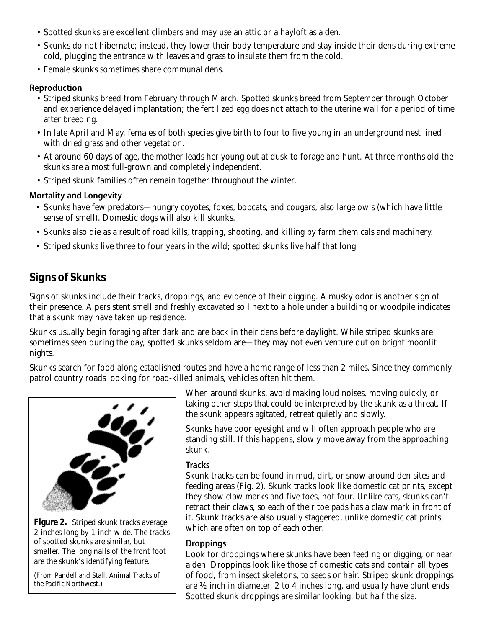- Spotted skunks are excellent climbers and may use an attic or a hayloft as a den.
- Skunks do not hibernate; instead, they lower their body temperature and stay inside their dens during extreme cold, plugging the entrance with leaves and grass to insulate them from the cold.
- Female skunks sometimes share communal dens.

#### **Reproduction**

- Striped skunks breed from February through March. Spotted skunks breed from September through October and experience delayed implantation; the fertilized egg does not attach to the uterine wall for a period of time after breeding.
- In late April and May, females of both species give birth to four to five young in an underground nest lined with dried grass and other vegetation.
- At around 60 days of age, the mother leads her young out at dusk to forage and hunt. At three months old the skunks are almost full-grown and completely independent.
- Striped skunk families often remain together throughout the winter.

#### **Mortality and Longevity**

- Skunks have few predators—hungry coyotes, foxes, bobcats, and cougars, also large owls (which have little sense of smell). Domestic dogs will also kill skunks.
- Skunks also die as a result of road kills, trapping, shooting, and killing by farm chemicals and machinery.
- Striped skunks live three to four years in the wild; spotted skunks live half that long.

# **Signs of Skunks**

Signs of skunks include their tracks, droppings, and evidence of their digging. A musky odor is another sign of their presence. A persistent smell and freshly excavated soil next to a hole under a building or woodpile indicates that a skunk may have taken up residence.

Skunks usually begin foraging after dark and are back in their dens before daylight. While striped skunks are sometimes seen during the day, spotted skunks seldom are—they may not even venture out on bright moonlit nights.

Skunks search for food along established routes and have a home range of less than 2 miles. Since they commonly patrol country roads looking for road-killed animals, vehicles often hit them.



**Figure 2.** *Striped skunk tracks average 2 inches long by 1 inch wide. The tracks of spotted skunks are similar, but smaller. The long nails of the front foot are the skunk's identifying feature.*

(From Pandell and Stall, *Animal Tracks of the Pacific Northwest*.)

When around skunks, avoid making loud noises, moving quickly, or taking other steps that could be interpreted by the skunk as a threat. If the skunk appears agitated, retreat quietly and slowly.

Skunks have poor eyesight and will often approach people who are standing still. If this happens, slowly move away from the approaching skunk.

#### **Tracks**

Skunk tracks can be found in mud, dirt, or snow around den sites and feeding areas (Fig. 2). Skunk tracks look like domestic cat prints, except they show claw marks and five toes, not four. Unlike cats, skunks can't retract their claws, so each of their toe pads has a claw mark in front of it. Skunk tracks are also usually staggered, unlike domestic cat prints, which are often on top of each other.

#### **Droppings**

Look for droppings where skunks have been feeding or digging, or near a den. Droppings look like those of domestic cats and contain all types of food, from insect skeletons, to seeds or hair. Striped skunk droppings are ½ inch in diameter, 2 to 4 inches long, and usually have blunt ends. Spotted skunk droppings are similar looking, but half the size.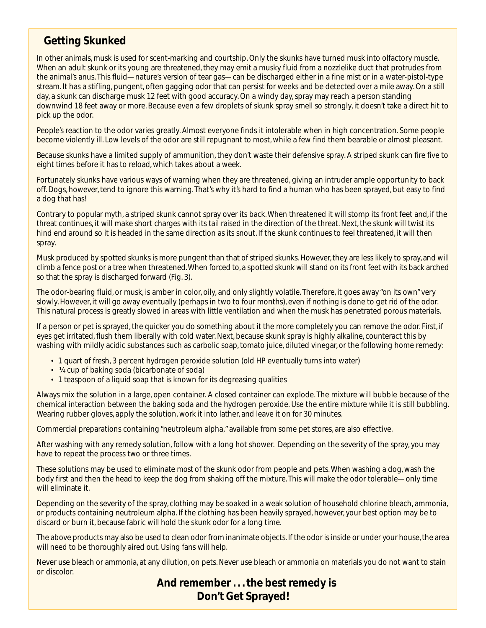## **Getting Skunked**

In other animals, musk is used for scent-marking and courtship. Only the skunks have turned musk into olfactory muscle. When an adult skunk or its young are threatened, they may emit a musky fluid from a nozzlelike duct that protrudes from the animal's anus. This fluid—nature's version of tear gas—can be discharged either in a fine mist or in a water-pistol-type stream. It has a stifling, pungent, often gagging odor that can persist for weeks and be detected over a mile away. On a still day, a skunk can discharge musk 12 feet with good accuracy. On a windy day, spray may reach a person standing downwind 18 feet away or more. Because even a few droplets of skunk spray smell so strongly, it doesn't take a direct hit to pick up the odor.

People's reaction to the odor varies greatly. Almost everyone finds it intolerable when in high concentration. Some people become violently ill. Low levels of the odor are still repugnant to most, while a few find them bearable or almost pleasant.

Because skunks have a limited supply of ammunition, they don't waste their defensive spray. A striped skunk can fire five to eight times before it has to reload, which takes about a week.

Fortunately skunks have various ways of warning when they are threatened, giving an intruder ample opportunity to back off. Dogs, however, tend to ignore this warning. That's why it's hard to find a human who has been sprayed, but easy to find a dog that has!

Contrary to popular myth, a striped skunk cannot spray over its back. When threatened it will stomp its front feet and, if the threat continues, it will make short charges with its tail raised in the direction of the threat. Next, the skunk will twist its hind end around so it is headed in the same direction as its snout. If the skunk continues to feel threatened, it will then spray.

Musk produced by spotted skunks is more pungent than that of striped skunks. However, they are less likely to spray, and will climb a fence post or a tree when threatened. When forced to, a spotted skunk will stand on its front feet with its back arched so that the spray is discharged forward (Fig. 3).

The odor-bearing fluid, or musk, is amber in color, oily, and only slightly volatile. Therefore, it goes away "on its own" very slowly. However, it will go away eventually (perhaps in two to four months), even if nothing is done to get rid of the odor. This natural process is greatly slowed in areas with little ventilation and when the musk has penetrated porous materials.

If a person or pet is sprayed, the quicker you do something about it the more completely you can remove the odor. First, if eyes get irritated, flush them liberally with cold water. Next, because skunk spray is highly alkaline, counteract this by washing with mildly acidic substances such as carbolic soap, tomato juice, diluted vinegar, or the following home remedy:

- 1 quart of fresh, 3 percent hydrogen peroxide solution (old HP eventually turns into water)
- ¼ cup of baking soda (bicarbonate of soda)
- 1 teaspoon of a liquid soap that is known for its degreasing qualities

Always mix the solution in a large, open container. A closed container can explode. The mixture will bubble because of the chemical interaction between the baking soda and the hydrogen peroxide. Use the entire mixture while it is still bubbling. Wearing rubber gloves, apply the solution, work it into lather, and leave it on for 30 minutes.

Commercial preparations containing "neutroleum alpha," available from some pet stores, are also effective.

After washing with any remedy solution, follow with a long hot shower. Depending on the severity of the spray, you may have to repeat the process two or three times.

These solutions may be used to eliminate *most* of the skunk odor from people and pets. When washing a dog, wash the body first and then the head to keep the dog from shaking off the mixture. This will make the odor tolerable—only time will eliminate it.

Depending on the severity of the spray, clothing may be soaked in a weak solution of household chlorine bleach, ammonia, or products containing neutroleum alpha. If the clothing has been heavily sprayed, however, your best option may be to discard or burn it, because fabric will hold the skunk odor for a long time.

The above products may also be used to clean odor from inanimate objects. If the odor is inside or under your house, the area will need to be thoroughly aired out. Using fans will help.

Never use bleach or ammonia, at any dilution, on pets. Never use bleach or ammonia on materials you do not want to stain or discolor.

### **And remember . . . the best remedy is Don't Get Sprayed!**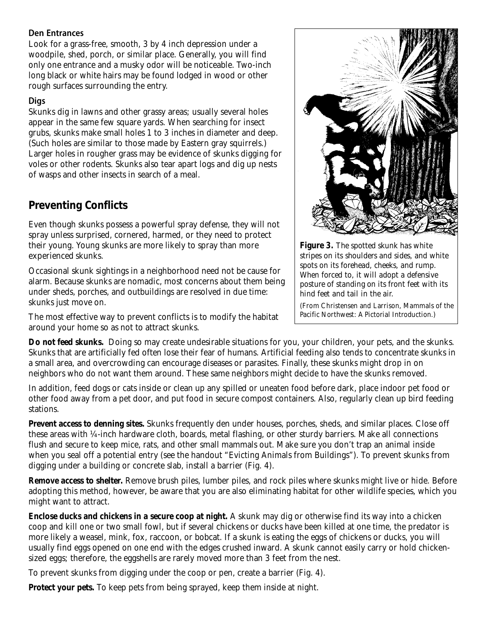#### **Den Entrances**

Look for a grass-free, smooth, 3 by 4 inch depression under a woodpile, shed, porch, or similar place. Generally, you will find only one entrance and a musky odor will be noticeable. Two-inch long black or white hairs may be found lodged in wood or other rough surfaces surrounding the entry.

#### **Digs**

Skunks dig in lawns and other grassy areas; usually several holes appear in the same few square yards. When searching for insect grubs, skunks make small holes 1 to 3 inches in diameter and deep. (Such holes are similar to those made by Eastern gray squirrels.) Larger holes in rougher grass may be evidence of skunks digging for voles or other rodents. Skunks also tear apart logs and dig up nests of wasps and other insects in search of a meal.

## **Preventing Conflicts**

Even though skunks possess a powerful spray defense, they will not spray unless surprised, cornered, harmed, or they need to protect their young. Young skunks are more likely to spray than more experienced skunks.

Occasional skunk sightings in a neighborhood need not be cause for alarm. Because skunks are nomadic, most concerns about them being under sheds, porches, and outbuildings are resolved in due time: skunks just move on.

The most effective way to prevent conflicts is to modify the habitat around your home so as not to attract skunks.



**Figure 3.** *The spotted skunk has white stripes on its shoulders and sides, and white spots on its forehead, cheeks, and rump. When forced to, it will adopt a defensive posture of standing on its front feet with its hind feet and tail in the air.*

(From Christensen and Larrison, *Mammals of the Pacific Northwest: A Pictorial Introduction.)*

**Do not feed skunks.** Doing so may create undesirable situations for you, your children, your pets, and the skunks. Skunks that are artificially fed often lose their fear of humans. Artificial feeding also tends to concentrate skunks in a small area, and overcrowding can encourage diseases or parasites. Finally, these skunks might drop in on neighbors who do not want them around. These same neighbors might decide to have the skunks removed.

In addition, feed dogs or cats inside or clean up any spilled or uneaten food before dark, place indoor pet food or other food away from a pet door, and put food in secure compost containers. Also, regularly clean up bird feeding stations.

**Prevent access to denning sites.** Skunks frequently den under houses, porches, sheds, and similar places. Close off these areas with ¼-inch hardware cloth, boards, metal flashing, or other sturdy barriers. Make all connections flush and secure to keep mice, rats, and other small mammals out. Make sure you don't trap an animal inside when you seal off a potential entry (see the handout "Evicting Animals from Buildings"). To prevent skunks from digging under a building or concrete slab, install a barrier (Fig. 4).

**Remove access to shelter.** Remove brush piles, lumber piles, and rock piles where skunks might live or hide. Before adopting this method, however, be aware that you are also eliminating habitat for other wildlife species, which you might want to attract.

**Enclose ducks and chickens in a secure coop at night.** A skunk may dig or otherwise find its way into a chicken coop and kill one or two small fowl, but if several chickens or ducks have been killed at one time, the predator is more likely a weasel, mink, fox, raccoon, or bobcat. If a skunk is eating the eggs of chickens or ducks, you will usually find eggs opened on one end with the edges crushed inward. A skunk cannot easily carry or hold chickensized eggs; therefore, the eggshells are rarely moved more than 3 feet from the nest.

To prevent skunks from digging under the coop or pen, create a barrier (Fig. 4).

**Protect your pets.** To keep pets from being sprayed, keep them inside at night.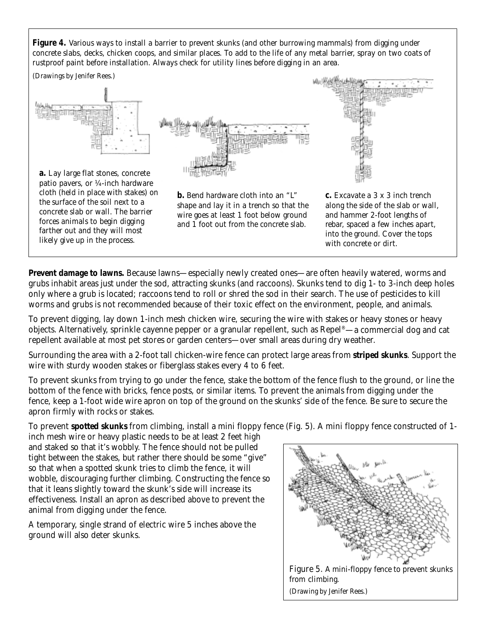**Figure 4.** *Various ways to install a barrier to prevent skunks (and other burrowing mammals) from digging under concrete slabs, decks, chicken coops, and similar places. To add to the life of any metal barrier, spray on two coats of rustproof paint before installation. Always check for utility lines before digging in an area.*



**Prevent damage to lawns.** Because lawns—especially newly created ones—are often heavily watered, worms and grubs inhabit areas just under the sod, attracting skunks (and raccoons). Skunks tend to dig 1- to 3-inch deep holes only where a grub is located; raccoons tend to roll or shred the sod in their search. The use of pesticides to kill worms and grubs is not recommended because of their toxic effect on the environment, people, and animals.

To prevent digging, lay down 1-inch mesh chicken wire, securing the wire with stakes or heavy stones or heavy objects. Alternatively, sprinkle cayenne pepper or a granular repellent, such as Repel®—a commercial dog and cat repellent available at most pet stores or garden centers—over small areas during dry weather.

Surrounding the area with a 2-foot tall chicken-wire fence can protect large areas from **striped skunks**. Support the wire with sturdy wooden stakes or fiberglass stakes every 4 to 6 feet.

To prevent skunks from trying to go under the fence, stake the bottom of the fence flush to the ground, or line the bottom of the fence with bricks, fence posts, or similar items. To prevent the animals from digging under the fence, keep a 1-foot wide wire apron on top of the ground on the skunks' side of the fence. Be sure to secure the apron firmly with rocks or stakes.

To prevent **spotted skunks** from climbing, install a mini floppy fence (Fig. 5). A mini floppy fence constructed of 1-

inch mesh wire or heavy plastic needs to be at least 2 feet high and staked so that it's wobbly. The fence should not be pulled tight between the stakes, but rather there should be some "give" so that when a spotted skunk tries to climb the fence, it will wobble, discouraging further climbing. Constructing the fence so that it leans slightly toward the skunk's side will increase its effectiveness. Install an apron as described above to prevent the animal from digging under the fence.

A temporary, single strand of electric wire 5 inches above the ground will also deter skunks.

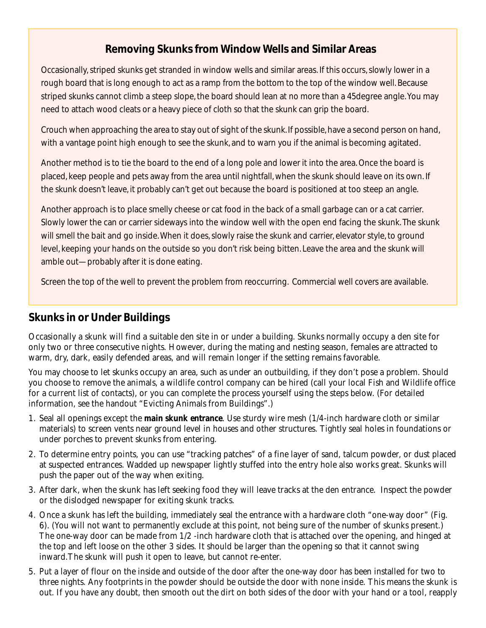# **Removing Skunks from Window Wells and Similar Areas**

Occasionally, striped skunks get stranded in window wells and similar areas. If this occurs, slowly lower in a rough board that is long enough to act as a ramp from the bottom to the top of the window well. Because striped skunks cannot climb a steep slope, the board should lean at no more than a 45degree angle. You may need to attach wood cleats or a heavy piece of cloth so that the skunk can grip the board.

Crouch when approaching the area to stay out of sight of the skunk. If possible, have a second person on hand, with a vantage point high enough to see the skunk, and to warn you if the animal is becoming agitated.

Another method is to tie the board to the end of a long pole and lower it into the area. Once the board is placed, keep people and pets away from the area until nightfall, when the skunk should leave on its own. If the skunk doesn't leave, it probably can't get out because the board is positioned at too steep an angle.

Another approach is to place smelly cheese or cat food in the back of a small garbage can or a cat carrier. Slowly lower the can or carrier sideways into the window well with the open end facing the skunk. The skunk will smell the bait and go inside. When it does, slowly raise the skunk and carrier, elevator style, to ground level, keeping your hands on the outside so you don't risk being bitten. Leave the area and the skunk will amble out—probably after it is done eating.

Screen the top of the well to prevent the problem from reoccurring. Commercial well covers are available.

# **Skunks in or Under Buildings**

Occasionally a skunk will find a suitable den site in or under a building. Skunks normally occupy a den site for only two or three consecutive nights. However, during the mating and nesting season, females are attracted to warm, dry, dark, easily defended areas, and will remain longer if the setting remains favorable.

You may choose to let skunks occupy an area, such as under an outbuilding, if they don't pose a problem. Should you choose to remove the animals, a wildlife control company can be hired (call your local Fish and Wildlife office for a current list of contacts), or you can complete the process yourself using the steps below. (For detailed information, see the handout "Evicting Animals from Buildings".)

- 1. Seal all openings except the **main skunk entrance**. Use sturdy wire mesh (1/4-inch hardware cloth or similar materials) to screen vents near ground level in houses and other structures. Tightly seal holes in foundations or under porches to prevent skunks from entering.
- 2. To determine entry points, you can use "tracking patches" of a fine layer of sand, talcum powder, or dust placed at suspected entrances. Wadded up newspaper lightly stuffed into the entry hole also works great. Skunks will push the paper out of the way when exiting.
- 3. After dark, when the skunk has left seeking food they will leave tracks at the den entrance. Inspect the powder or the dislodged newspaper for exiting skunk tracks.
- 4. Once a skunk has left the building, immediately seal the entrance with a hardware cloth "one-way door" (Fig. 6). (You will not want to permanently exclude at this point, not being sure of the number of skunks present.) The one-way door can be made from 1/2 -inch hardware cloth that is attached over the opening, and hinged at the top and left loose on the other 3 sides. It should be larger than the opening so that it cannot swing inward.The skunk will push it open to leave, but cannot re-enter.
- 5. Put a layer of flour on the inside and outside of the door after the one-way door has been installed for two to three nights. Any footprints in the powder should be outside the door with none inside. This means the skunk is out. If you have any doubt, then smooth out the dirt on both sides of the door with your hand or a tool, reapply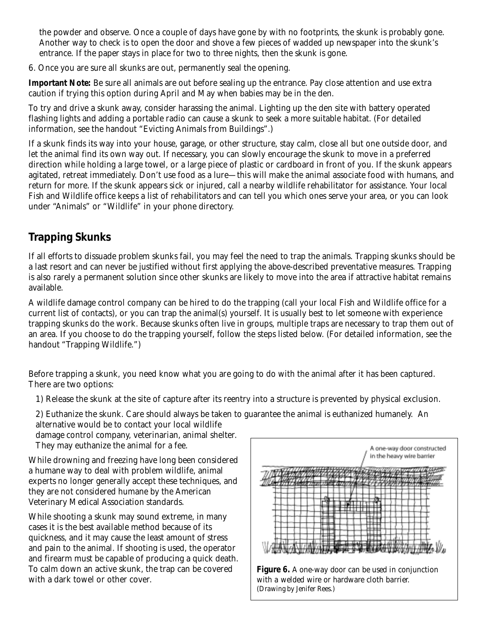the powder and observe. Once a couple of days have gone by with no footprints, the skunk is probably gone. Another way to check is to open the door and shove a few pieces of wadded up newspaper into the skunk's entrance. If the paper stays in place for two to three nights, then the skunk is gone.

6. Once you are sure all skunks are out, permanently seal the opening.

**Important Note:** Be sure all animals are out before sealing up the entrance. Pay close attention and use extra caution if trying this option during April and May when babies may be in the den.

To try and drive a skunk away, consider harassing the animal. Lighting up the den site with battery operated flashing lights and adding a portable radio can cause a skunk to seek a more suitable habitat. (For detailed information, see the handout "Evicting Animals from Buildings".)

If a skunk finds its way into your house, garage, or other structure, stay calm, close all but one outside door, and let the animal find its own way out. If necessary, you can slowly encourage the skunk to move in a preferred direction while holding a large towel, or a large piece of plastic or cardboard in front of you. If the skunk appears agitated, retreat immediately. Don't use food as a lure—this will make the animal associate food with humans, and return for more. If the skunk appears sick or injured, call a nearby wildlife rehabilitator for assistance. Your local Fish and Wildlife office keeps a list of rehabilitators and can tell you which ones serve your area, or you can look under "Animals" or "Wildlife" in your phone directory.

# **Trapping Skunks**

If all efforts to dissuade problem skunks fail, you may feel the need to trap the animals. Trapping skunks should be a last resort and can never be justified without first applying the above-described preventative measures. Trapping is also rarely a permanent solution since other skunks are likely to move into the area if attractive habitat remains available.

A wildlife damage control company can be hired to do the trapping (call your local Fish and Wildlife office for a current list of contacts), or you can trap the animal(s) yourself. It is usually best to let someone with experience trapping skunks do the work. Because skunks often live in groups, multiple traps are necessary to trap them out of an area. If you choose to do the trapping yourself, follow the steps listed below. (For detailed information, see the handout "Trapping Wildlife.")

Before trapping a skunk, you need know what you are going to do with the animal after it has been captured. There are two options:

1) Release the skunk at the site of capture after its reentry into a structure is prevented by physical exclusion.

2) Euthanize the skunk. Care should always be taken to guarantee the animal is euthanized humanely. An alternative would be to contact your local wildlife

damage control company, veterinarian, animal shelter. They may euthanize the animal for a fee.

While drowning and freezing have long been considered a humane way to deal with problem wildlife, animal experts no longer generally accept these techniques, and they are not considered humane by the American Veterinary Medical Association standards.

While shooting a skunk may sound extreme, in many cases it is the best available method because of its quickness, and it may cause the least amount of stress and pain to the animal. If shooting is used, the operator and firearm must be capable of producing a quick death. To calm down an active skunk, the trap can be covered with a dark towel or other cover.



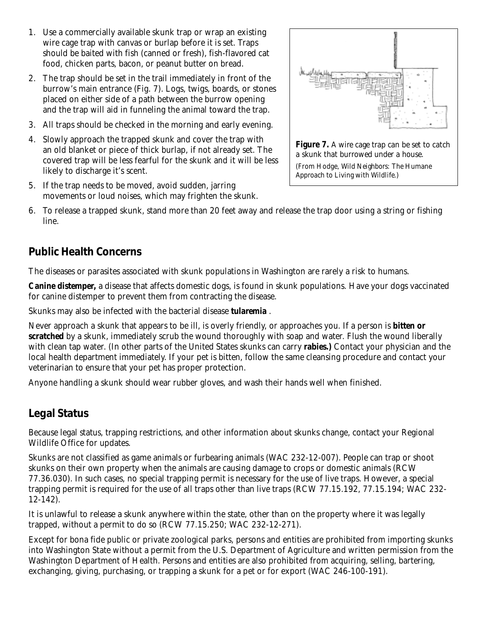- 1. Use a commercially available skunk trap or wrap an existing wire cage trap with canvas or burlap before it is set. Traps should be baited with fish (canned or fresh), fish-flavored cat food, chicken parts, bacon, or peanut butter on bread.
- 2. The trap should be set in the trail immediately in front of the burrow's main entrance (Fig. 7). Logs, twigs, boards, or stones placed on either side of a path between the burrow opening and the trap will aid in funneling the animal toward the trap.
- 3. All traps should be checked in the morning and early evening.
- 4. Slowly approach the trapped skunk and cover the trap with an old blanket or piece of thick burlap, if not already set. The covered trap will be less fearful for the skunk and it will be less likely to discharge it's scent.
- 5. If the trap needs to be moved, avoid sudden, jarring movements or loud noises, which may frighten the skunk.



6. To release a trapped skunk, stand more than 20 feet away and release the trap door using a string or fishing line.

## **Public Health Concerns**

The diseases or parasites associated with skunk populations in Washington are rarely a risk to humans.

**Canine distemper,** a disease that affects domestic dogs, is found in skunk populations. Have your dogs vaccinated for canine distemper to prevent them from contracting the disease.

Skunks may also be infected with the bacterial disease **tularemia** .

Never approach a skunk that appears to be ill, is overly friendly, or approaches you. If a person is **bitten or scratched** by a skunk, immediately scrub the wound thoroughly with soap and water. Flush the wound liberally with clean tap water. (In other parts of the United States skunks can carry **rabies.)** Contact your physician and the local health department immediately. If your pet is bitten, follow the same cleansing procedure and contact your veterinarian to ensure that your pet has proper protection.

Anyone handling a skunk should wear rubber gloves, and wash their hands well when finished.

## **Legal Status**

Because legal status, trapping restrictions, and other information about skunks change, contact your Regional Wildlife Office for updates.

Skunks are not classified as game animals or furbearing animals (WAC 232-12-007). People can trap or shoot skunks on their own property when the animals are causing damage to crops or domestic animals (RCW 77.36.030). In such cases, no special trapping permit is necessary for the use of live traps. However, a special trapping permit is required for the use of all traps other than live traps (RCW 77.15.192, 77.15.194; WAC 232- 12-142).

It is unlawful to release a skunk anywhere within the state, other than on the property where it was legally trapped, without a permit to do so (RCW 77.15.250; WAC 232-12-271).

Except for bona fide public or private zoological parks, persons and entities are prohibited from importing skunks into Washington State without a permit from the U.S. Department of Agriculture and written permission from the Washington Department of Health. Persons and entities are also prohibited from acquiring, selling, bartering, exchanging, giving, purchasing, or trapping a skunk for a pet or for export (WAC 246-100-191).